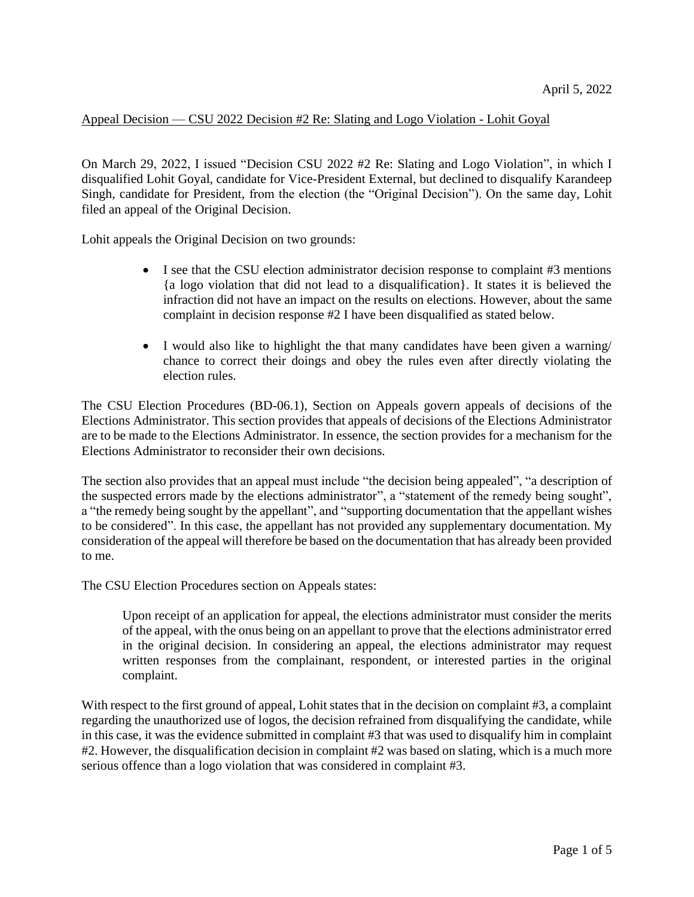## Appeal Decision — CSU 2022 Decision #2 Re: Slating and Logo Violation - Lohit Goyal

On March 29, 2022, I issued "Decision CSU 2022 #2 Re: Slating and Logo Violation", in which I disqualified Lohit Goyal, candidate for Vice-President External, but declined to disqualify Karandeep Singh, candidate for President, from the election (the "Original Decision"). On the same day, Lohit filed an appeal of the Original Decision.

Lohit appeals the Original Decision on two grounds:

- I see that the CSU election administrator decision response to complaint #3 mentions {a logo violation that did not lead to a disqualification}. It states it is believed the infraction did not have an impact on the results on elections. However, about the same complaint in decision response #2 I have been disqualified as stated below.
- I would also like to highlight the that many candidates have been given a warning/ chance to correct their doings and obey the rules even after directly violating the election rules.

The CSU Election Procedures (BD-06.1), Section on Appeals govern appeals of decisions of the Elections Administrator. This section provides that appeals of decisions of the Elections Administrator are to be made to the Elections Administrator. In essence, the section provides for a mechanism for the Elections Administrator to reconsider their own decisions.

The section also provides that an appeal must include "the decision being appealed", "a description of the suspected errors made by the elections administrator", a "statement of the remedy being sought", a "the remedy being sought by the appellant", and "supporting documentation that the appellant wishes to be considered". In this case, the appellant has not provided any supplementary documentation. My consideration of the appeal will therefore be based on the documentation that has already been provided to me.

The CSU Election Procedures section on Appeals states:

Upon receipt of an application for appeal, the elections administrator must consider the merits of the appeal, with the onus being on an appellant to prove that the elections administrator erred in the original decision. In considering an appeal, the elections administrator may request written responses from the complainant, respondent, or interested parties in the original complaint.

With respect to the first ground of appeal, Lohit states that in the decision on complaint #3, a complaint regarding the unauthorized use of logos, the decision refrained from disqualifying the candidate, while in this case, it was the evidence submitted in complaint #3 that was used to disqualify him in complaint #2. However, the disqualification decision in complaint #2 was based on slating, which is a much more serious offence than a logo violation that was considered in complaint #3.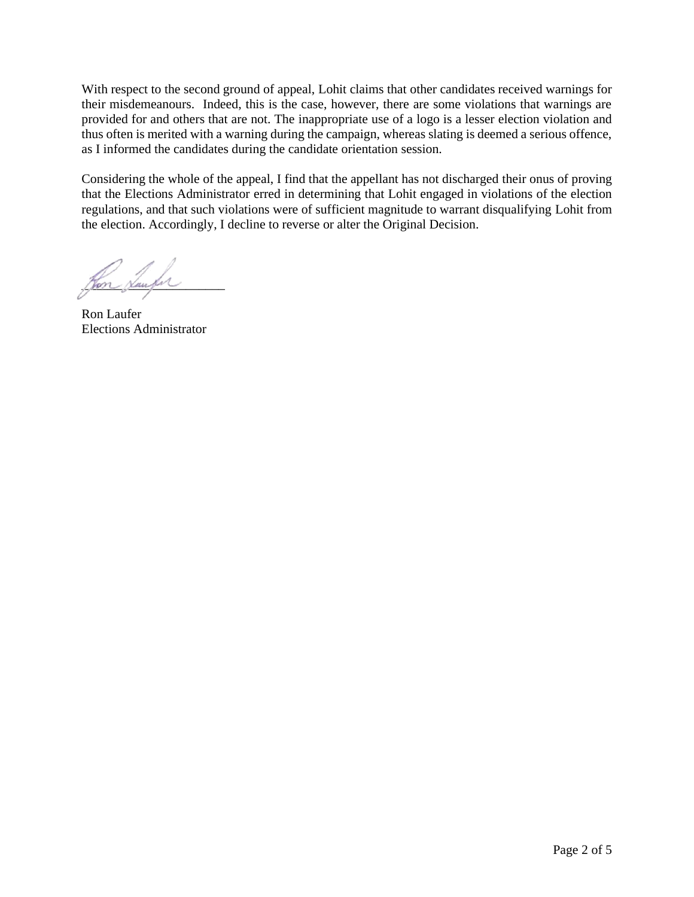With respect to the second ground of appeal, Lohit claims that other candidates received warnings for their misdemeanours. Indeed, this is the case, however, there are some violations that warnings are provided for and others that are not. The inappropriate use of a logo is a lesser election violation and thus often is merited with a warning during the campaign, whereas slating is deemed a serious offence, as I informed the candidates during the candidate orientation session.

Considering the whole of the appeal, I find that the appellant has not discharged their onus of proving that the Elections Administrator erred in determining that Lohit engaged in violations of the election regulations, and that such violations were of sufficient magnitude to warrant disqualifying Lohit from the election. Accordingly, I decline to reverse or alter the Original Decision.

Hon <u>Haup</u>h

Ron Laufer Elections Administrator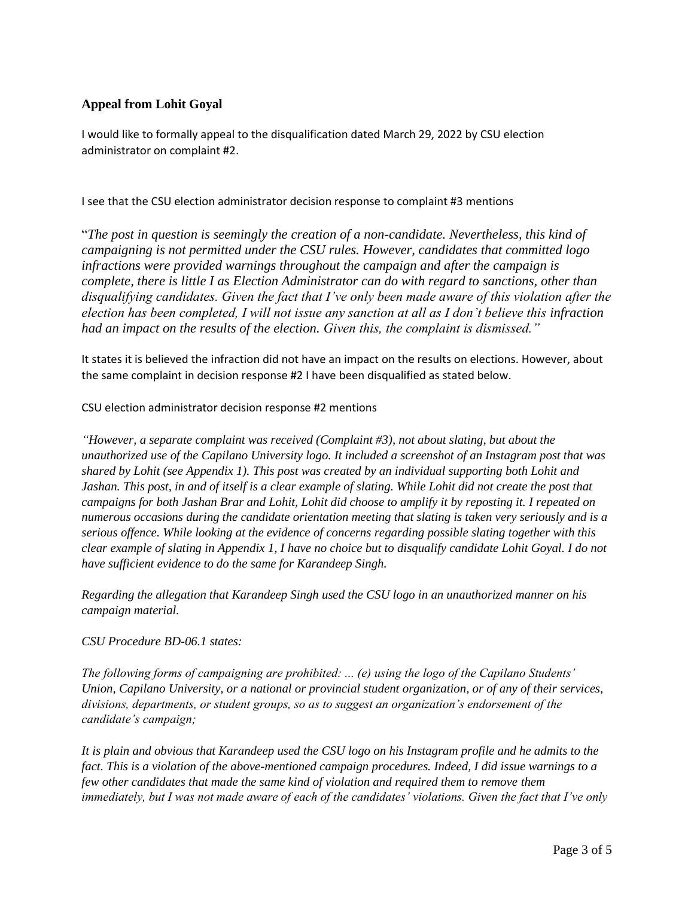## **Appeal from Lohit Goyal**

I would like to formally appeal to the disqualification dated March 29, 2022 by CSU election administrator on complaint #2.

I see that the CSU election administrator decision response to complaint #3 mentions

"*The post in question is seemingly the creation of a non-candidate. Nevertheless, this kind of campaigning is not permitted under the CSU rules. However, candidates that committed logo infractions were provided warnings throughout the campaign and after the campaign is complete, there is little I as Election Administrator can do with regard to sanctions, other than disqualifying candidates. Given the fact that I've only been made aware of this violation after the election has been completed, I will not issue any sanction at all as I don't believe this infraction had an impact on the results of the election. Given this, the complaint is dismissed."*

It states it is believed the infraction did not have an impact on the results on elections. However, about the same complaint in decision response #2 I have been disqualified as stated below.

CSU election administrator decision response #2 mentions

*"However, a separate complaint was received (Complaint #3), not about slating, but about the unauthorized use of the Capilano University logo. It included a screenshot of an Instagram post that was shared by Lohit (see Appendix 1). This post was created by an individual supporting both Lohit and Jashan. This post, in and of itself is a clear example of slating. While Lohit did not create the post that campaigns for both Jashan Brar and Lohit, Lohit did choose to amplify it by reposting it. I repeated on numerous occasions during the candidate orientation meeting that slating is taken very seriously and is a serious offence. While looking at the evidence of concerns regarding possible slating together with this clear example of slating in Appendix 1, I have no choice but to disqualify candidate Lohit Goyal. I do not have sufficient evidence to do the same for Karandeep Singh.* 

*Regarding the allegation that Karandeep Singh used the CSU logo in an unauthorized manner on his campaign material.* 

*CSU Procedure BD-06.1 states:* 

*The following forms of campaigning are prohibited: ... (e) using the logo of the Capilano Students' Union, Capilano University, or a national or provincial student organization, or of any of their services, divisions, departments, or student groups, so as to suggest an organization's endorsement of the candidate's campaign;* 

*It is plain and obvious that Karandeep used the CSU logo on his Instagram profile and he admits to the fact. This is a violation of the above-mentioned campaign procedures. Indeed, I did issue warnings to a few other candidates that made the same kind of violation and required them to remove them immediately, but I was not made aware of each of the candidates' violations. Given the fact that I've only*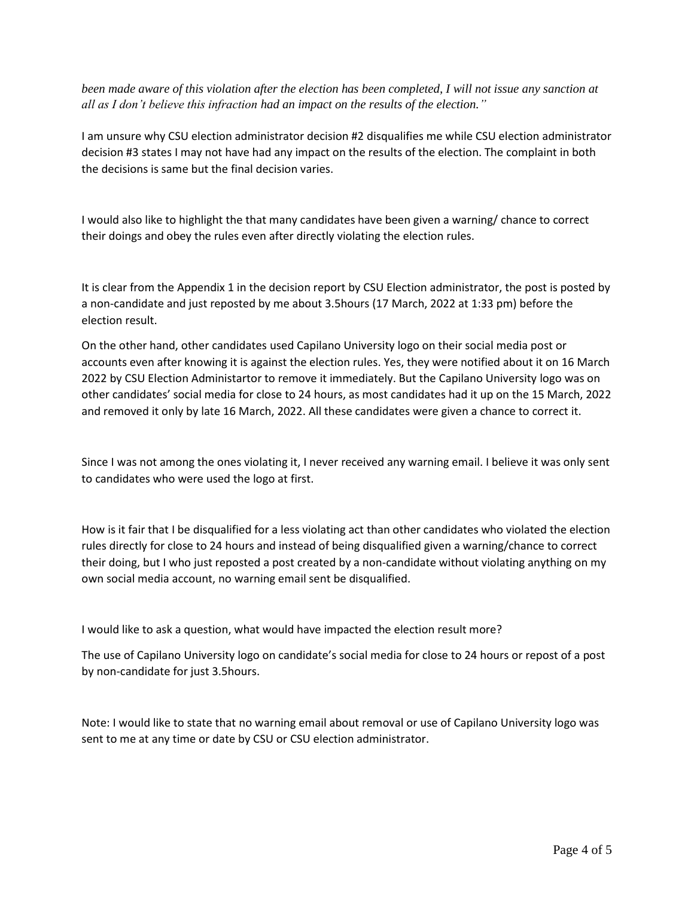*been made aware of this violation after the election has been completed, I will not issue any sanction at all as I don't believe this infraction had an impact on the results of the election."*

I am unsure why CSU election administrator decision #2 disqualifies me while CSU election administrator decision #3 states I may not have had any impact on the results of the election. The complaint in both the decisions is same but the final decision varies.

I would also like to highlight the that many candidates have been given a warning/ chance to correct their doings and obey the rules even after directly violating the election rules.

It is clear from the Appendix 1 in the decision report by CSU Election administrator, the post is posted by a non-candidate and just reposted by me about 3.5hours (17 March, 2022 at 1:33 pm) before the election result.

On the other hand, other candidates used Capilano University logo on their social media post or accounts even after knowing it is against the election rules. Yes, they were notified about it on 16 March 2022 by CSU Election Administartor to remove it immediately. But the Capilano University logo was on other candidates' social media for close to 24 hours, as most candidates had it up on the 15 March, 2022 and removed it only by late 16 March, 2022. All these candidates were given a chance to correct it.

Since I was not among the ones violating it, I never received any warning email. I believe it was only sent to candidates who were used the logo at first.

How is it fair that I be disqualified for a less violating act than other candidates who violated the election rules directly for close to 24 hours and instead of being disqualified given a warning/chance to correct their doing, but I who just reposted a post created by a non-candidate without violating anything on my own social media account, no warning email sent be disqualified.

I would like to ask a question, what would have impacted the election result more?

The use of Capilano University logo on candidate's social media for close to 24 hours or repost of a post by non-candidate for just 3.5hours.

Note: I would like to state that no warning email about removal or use of Capilano University logo was sent to me at any time or date by CSU or CSU election administrator.